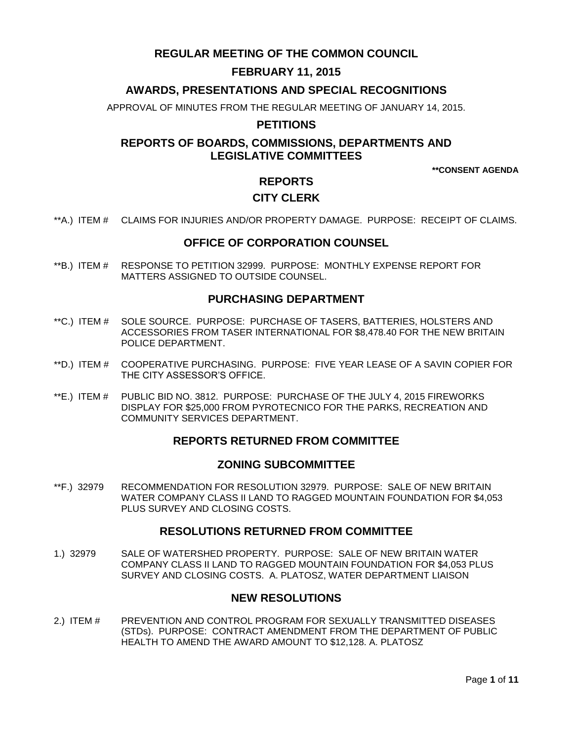# **REGULAR MEETING OF THE COMMON COUNCIL**

# **FEBRUARY 11, 2015**

## **AWARDS, PRESENTATIONS AND SPECIAL RECOGNITIONS**

APPROVAL OF MINUTES FROM THE REGULAR MEETING OF JANUARY 14, 2015.

### **PETITIONS**

## **REPORTS OF BOARDS, COMMISSIONS, DEPARTMENTS AND LEGISLATIVE COMMITTEES**

**\*\*CONSENT AGENDA**

# **REPORTS**

## **CITY CLERK**

\*\*A.) ITEM # [CLAIMS FOR INJURIES AND/OR PROPERTY DAMAGE. PURPOSE: RECEIPT OF CLAIMS.](#page-2-0)

### **OFFICE OF CORPORATION COUNSEL**

\*\*B.) ITEM # [RESPONSE TO PETITION 32999. PURPOSE: MONTHLY EXPENSE REPORT FOR](#page-2-1)  [MATTERS ASSIGNED TO OUTSIDE COUNSEL.](#page-2-1)

### **PURCHASING DEPARTMENT**

- \*\*C.) ITEM # [SOLE SOURCE. PURPOSE: PURCHASE OF TASERS, BATTERIES, HOLSTERS AND](#page-3-0)  [ACCESSORIES FROM TASER INTERNATIONAL FOR \\$8,478.40 FOR THE NEW BRITAIN](#page-3-0)  [POLICE DEPARTMENT.](#page-3-0)
- \*\*D.) ITEM # [COOPERATIVE PURCHASING. PURPOSE: FIVE YEAR LEASE OF A SAVIN COPIER FOR](#page-4-0)  [THE CITY ASSESSOR'S OFFICE.](#page-4-0)
- \*\*E.) ITEM # [PUBLIC BID NO. 3812. PURPOSE: PURCHASE OF THE JULY 4, 2015 FIREWORKS](#page-5-0)  [DISPLAY FOR \\$25,000 FROM PYROTECNICO FOR THE PARKS, RECREATION AND](#page-5-0)  [COMMUNITY SERVICES DEPARTMENT.](#page-5-0)

### **REPORTS RETURNED FROM COMMITTEE**

### **ZONING SUBCOMMITTEE**

\*\*F.) 32979 [RECOMMENDATION FOR RESOLUTION 32979. PURPOSE: SALE OF NEW BRITAIN](#page-5-1)  [WATER COMPANY CLASS II LAND TO RAGGED MOUNTAIN FOUNDATION FOR \\$4,053](#page-5-1)  [PLUS SURVEY AND CLOSING COSTS.](#page-5-1)

### **RESOLUTIONS RETURNED FROM COMMITTEE**

1.) 32979 [SALE OF WATERSHED PROPERTY. PURPOSE: SALE OF NEW BRITAIN WATER](#page-6-0)  [COMPANY CLASS II LAND TO RAGGED MOUNTAIN FOUNDATION FOR \\$4,053 PLUS](#page-6-0)  [SURVEY AND CLOSING COSTS. A. PLATOSZ, WATER DEPARTMENT LIAISON](#page-6-0)

## **NEW RESOLUTIONS**

2.) ITEM # [PREVENTION AND CONTROL PROGRAM FOR SEXUALLY TRANSMITTED DISEASES](#page-6-1)  [\(STDs\). PURPOSE: CONTRACT AMENDMENT FROM THE DEPARTMENT OF PUBLIC](#page-6-1)  [HEALTH TO AMEND THE AWARD AMOUNT TO \\$12,128. A. PLATOSZ](#page-6-1)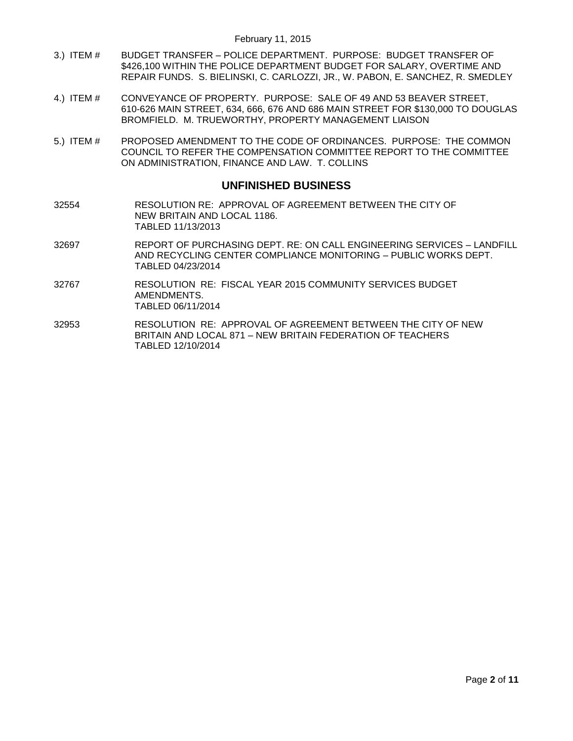- 3.) ITEM # BUDGET TRANSFER [POLICE DEPARTMENT. PURPOSE: BUDGET TRANSFER OF](#page-7-0)  [\\$426,100 WITHIN THE POLICE DEPARTMENT BUDGET FOR SALARY, OVERTIME AND](#page-7-0)  [REPAIR FUNDS. S. BIELINSKI, C. CARLOZZI,](#page-7-0) JR., W. PABON, E. SANCHEZ, R. SMEDLEY
- 4.) ITEM # [CONVEYANCE OF PROPERTY. PURPOSE: SALE OF 49 AND 53 BEAVER STREET,](#page-8-0)  [610-626 MAIN STREET, 634, 666, 676 AND 686 MAIN STREET FOR \\$130,000 TO DOUGLAS](#page-8-0) [BROMFIELD. M. TRUEWORTHY, PROPERTY MANAGEMENT LIAISON](#page-8-0)
- 5.) ITEM # [PROPOSED AMENDMENT TO THE CODE OF ORDINANCES. PURPOSE: THE COMMON](#page-9-0)  [COUNCIL TO REFER THE COMPENSATION COMMITTEE REPORT TO THE COMMITTEE](#page-9-0)  [ON ADMINISTRATION, FINANCE AND LAW. T. COLLINS](#page-9-0)

### **UNFINISHED BUSINESS**

- 32554 RESOLUTION RE: APPROVAL OF AGREEMENT BETWEEN THE CITY OF NEW BRITAIN AND LOCAL 1186. TABLED 11/13/2013
- 32697 REPORT OF PURCHASING DEPT. RE: ON CALL ENGINEERING SERVICES LANDFILL AND RECYCLING CENTER COMPLIANCE MONITORING – PUBLIC WORKS DEPT. TABLED 04/23/2014
- 32767 RESOLUTION RE: FISCAL YEAR 2015 COMMUNITY SERVICES BUDGET AMENDMENTS. TABLED 06/11/2014
- 32953 RESOLUTION RE: APPROVAL OF AGREEMENT BETWEEN THE CITY OF NEW BRITAIN AND LOCAL 871 – NEW BRITAIN FEDERATION OF TEACHERS TABLED 12/10/2014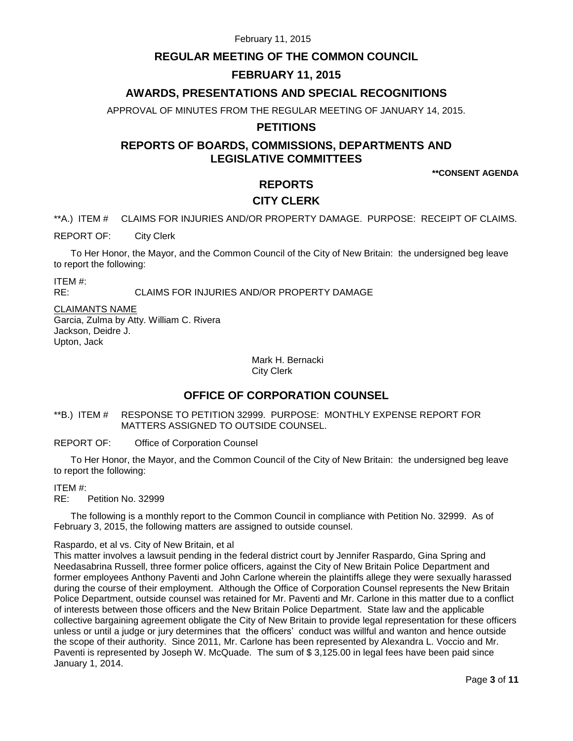## **REGULAR MEETING OF THE COMMON COUNCIL**

### **FEBRUARY 11, 2015**

## **AWARDS, PRESENTATIONS AND SPECIAL RECOGNITIONS**

APPROVAL OF MINUTES FROM THE REGULAR MEETING OF JANUARY 14, 2015.

### **PETITIONS**

# **REPORTS OF BOARDS, COMMISSIONS, DEPARTMENTS AND LEGISLATIVE COMMITTEES**

**\*\*CONSENT AGENDA**

## **REPORTS**

### **CITY CLERK**

<span id="page-2-0"></span>\*\*A.) ITEM # CLAIMS FOR INJURIES AND/OR PROPERTY DAMAGE. PURPOSE: RECEIPT OF CLAIMS.

REPORT OF: City Clerk

To Her Honor, the Mayor, and the Common Council of the City of New Britain: the undersigned beg leave to report the following:

ITEM #:

RE: CLAIMS FOR INJURIES AND/OR PROPERTY DAMAGE

CLAIMANTS NAME Garcia, Zulma by Atty. William C. Rivera Jackson, Deidre J. Upton, Jack

> Mark H. Bernacki City Clerk

## **OFFICE OF CORPORATION COUNSEL**

<span id="page-2-1"></span>\*\*B.) ITEM # RESPONSE TO PETITION 32999. PURPOSE: MONTHLY EXPENSE REPORT FOR MATTERS ASSIGNED TO OUTSIDE COUNSEL.

REPORT OF: Office of Corporation Counsel

To Her Honor, the Mayor, and the Common Council of the City of New Britain: the undersigned beg leave to report the following:

ITEM #:

RE: Petition No. 32999

The following is a monthly report to the Common Council in compliance with Petition No. 32999. As of February 3, 2015, the following matters are assigned to outside counsel.

Raspardo, et al vs. City of New Britain, et al

This matter involves a lawsuit pending in the federal district court by Jennifer Raspardo, Gina Spring and Needasabrina Russell, three former police officers, against the City of New Britain Police Department and former employees Anthony Paventi and John Carlone wherein the plaintiffs allege they were sexually harassed during the course of their employment. Although the Office of Corporation Counsel represents the New Britain Police Department, outside counsel was retained for Mr. Paventi and Mr. Carlone in this matter due to a conflict of interests between those officers and the New Britain Police Department. State law and the applicable collective bargaining agreement obligate the City of New Britain to provide legal representation for these officers unless or until a judge or jury determines that the officers' conduct was willful and wanton and hence outside the scope of their authority. Since 2011, Mr. Carlone has been represented by Alexandra L. Voccio and Mr. Paventi is represented by Joseph W. McQuade. The sum of \$3,125.00 in legal fees have been paid since January 1, 2014.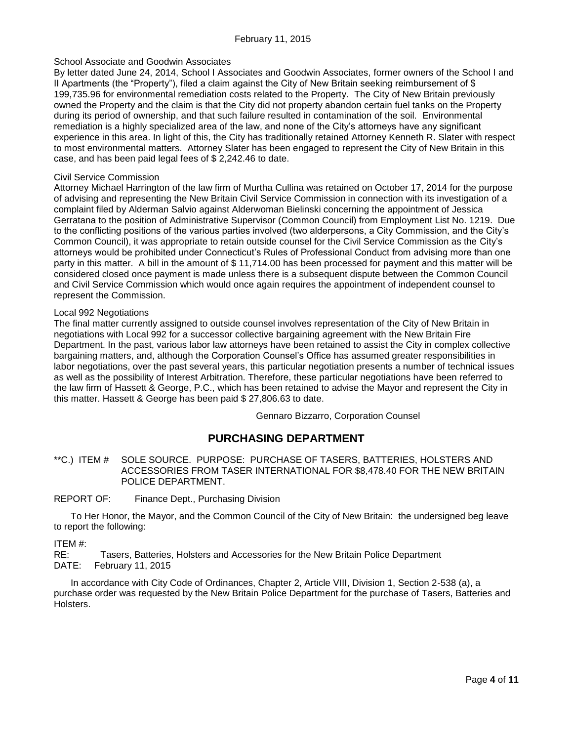### School Associate and Goodwin Associates

By letter dated June 24, 2014, School I Associates and Goodwin Associates, former owners of the School I and II Apartments (the "Property"), filed a claim against the City of New Britain seeking reimbursement of \$ 199,735.96 for environmental remediation costs related to the Property. The City of New Britain previously owned the Property and the claim is that the City did not property abandon certain fuel tanks on the Property during its period of ownership, and that such failure resulted in contamination of the soil. Environmental remediation is a highly specialized area of the law, and none of the City's attorneys have any significant experience in this area. In light of this, the City has traditionally retained Attorney Kenneth R. Slater with respect to most environmental matters. Attorney Slater has been engaged to represent the City of New Britain in this case, and has been paid legal fees of \$ 2,242.46 to date.

#### Civil Service Commission

Attorney Michael Harrington of the law firm of Murtha Cullina was retained on October 17, 2014 for the purpose of advising and representing the New Britain Civil Service Commission in connection with its investigation of a complaint filed by Alderman Salvio against Alderwoman Bielinski concerning the appointment of Jessica Gerratana to the position of Administrative Supervisor (Common Council) from Employment List No. 1219. Due to the conflicting positions of the various parties involved (two alderpersons, a City Commission, and the City's Common Council), it was appropriate to retain outside counsel for the Civil Service Commission as the City's attorneys would be prohibited under Connecticut's Rules of Professional Conduct from advising more than one party in this matter. A bill in the amount of \$ 11,714.00 has been processed for payment and this matter will be considered closed once payment is made unless there is a subsequent dispute between the Common Council and Civil Service Commission which would once again requires the appointment of independent counsel to represent the Commission.

### Local 992 Negotiations

The final matter currently assigned to outside counsel involves representation of the City of New Britain in negotiations with Local 992 for a successor collective bargaining agreement with the New Britain Fire Department. In the past, various labor law attorneys have been retained to assist the City in complex collective bargaining matters, and, although the Corporation Counsel's Office has assumed greater responsibilities in labor negotiations, over the past several years, this particular negotiation presents a number of technical issues as well as the possibility of Interest Arbitration. Therefore, these particular negotiations have been referred to the law firm of Hassett & George, P.C., which has been retained to advise the Mayor and represent the City in this matter. Hassett & George has been paid \$ 27,806.63 to date.

Gennaro Bizzarro, Corporation Counsel

## **PURCHASING DEPARTMENT**

<span id="page-3-0"></span>\*\*C.) ITEM # SOLE SOURCE. PURPOSE: PURCHASE OF TASERS, BATTERIES, HOLSTERS AND ACCESSORIES FROM TASER INTERNATIONAL FOR \$8,478.40 FOR THE NEW BRITAIN POLICE DEPARTMENT.

### REPORT OF: Finance Dept., Purchasing Division

To Her Honor, the Mayor, and the Common Council of the City of New Britain: the undersigned beg leave to report the following:

ITEM #:

RE: Tasers, Batteries, Holsters and Accessories for the New Britain Police Department DATE: February 11, 2015

In accordance with City Code of Ordinances, Chapter 2, Article VIII, Division 1, Section 2-538 (a), a purchase order was requested by the New Britain Police Department for the purchase of Tasers, Batteries and Holsters.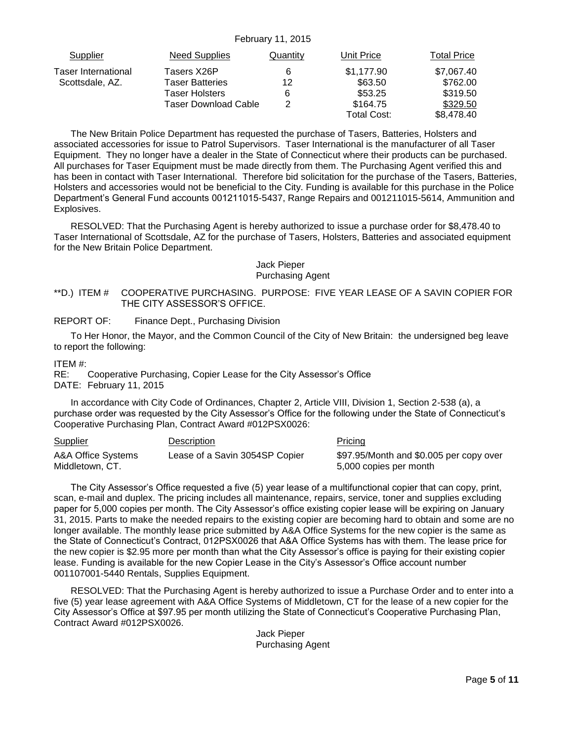| Supplier            | Need Supplies        | Quantity | Unit Price  | Total Price |
|---------------------|----------------------|----------|-------------|-------------|
| Taser International | Tasers X26P          | 6        | \$1,177.90  | \$7,067.40  |
| Scottsdale, AZ.     | Taser Batteries      | 12       | \$63.50     | \$762.00    |
|                     | Taser Holsters       | 6        | \$53.25     | \$319.50    |
|                     | Taser Download Cable |          | \$164.75    | \$329.50    |
|                     |                      |          | Total Cost: | \$8,478,40  |

The New Britain Police Department has requested the purchase of Tasers, Batteries, Holsters and associated accessories for issue to Patrol Supervisors. Taser International is the manufacturer of all Taser Equipment. They no longer have a dealer in the State of Connecticut where their products can be purchased. All purchases for Taser Equipment must be made directly from them. The Purchasing Agent verified this and has been in contact with Taser International. Therefore bid solicitation for the purchase of the Tasers, Batteries, Holsters and accessories would not be beneficial to the City. Funding is available for this purchase in the Police Department's General Fund accounts 001211015-5437, Range Repairs and 001211015-5614, Ammunition and Explosives.

RESOLVED: That the Purchasing Agent is hereby authorized to issue a purchase order for \$8,478.40 to Taser International of Scottsdale, AZ for the purchase of Tasers, Holsters, Batteries and associated equipment for the New Britain Police Department.

### Jack Pieper Purchasing Agent

### <span id="page-4-0"></span>\*\*D.) ITEM # COOPERATIVE PURCHASING. PURPOSE: FIVE YEAR LEASE OF A SAVIN COPIER FOR THE CITY ASSESSOR'S OFFICE.

### REPORT OF: Finance Dept., Purchasing Division

To Her Honor, the Mayor, and the Common Council of the City of New Britain: the undersigned beg leave to report the following:

#### ITEM #:

RE: Cooperative Purchasing, Copier Lease for the City Assessor's Office DATE: February 11, 2015

In accordance with City Code of Ordinances, Chapter 2, Article VIII, Division 1, Section 2-538 (a), a purchase order was requested by the City Assessor's Office for the following under the State of Connecticut's Cooperative Purchasing Plan, Contract Award #012PSX0026:

| <b>Supplier</b>    | Description                    | Pricing                                 |
|--------------------|--------------------------------|-----------------------------------------|
| A&A Office Systems | Lease of a Savin 3054SP Copier | \$97.95/Month and \$0.005 per copy over |
| Middletown, CT.    |                                | 5,000 copies per month                  |

The City Assessor's Office requested a five (5) year lease of a multifunctional copier that can copy, print, scan, e-mail and duplex. The pricing includes all maintenance, repairs, service, toner and supplies excluding paper for 5,000 copies per month. The City Assessor's office existing copier lease will be expiring on January 31, 2015. Parts to make the needed repairs to the existing copier are becoming hard to obtain and some are no longer available. The monthly lease price submitted by A&A Office Systems for the new copier is the same as the State of Connecticut's Contract, 012PSX0026 that A&A Office Systems has with them. The lease price for the new copier is \$2.95 more per month than what the City Assessor's office is paying for their existing copier lease. Funding is available for the new Copier Lease in the City's Assessor's Office account number 001107001-5440 Rentals, Supplies Equipment.

RESOLVED: That the Purchasing Agent is hereby authorized to issue a Purchase Order and to enter into a five (5) year lease agreement with A&A Office Systems of Middletown, CT for the lease of a new copier for the City Assessor's Office at \$97.95 per month utilizing the State of Connecticut's Cooperative Purchasing Plan, Contract Award #012PSX0026.

> Jack Pieper Purchasing Agent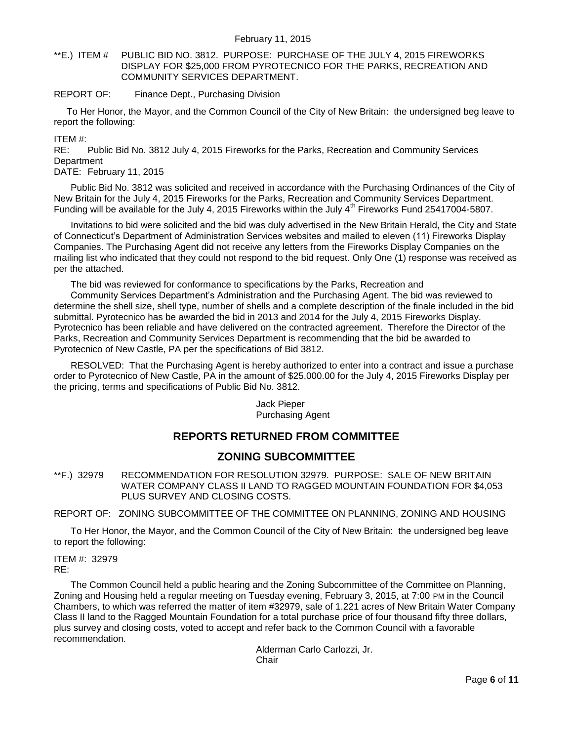<span id="page-5-0"></span>\*\*E.) ITEM # PUBLIC BID NO. 3812. PURPOSE: PURCHASE OF THE JULY 4, 2015 FIREWORKS DISPLAY FOR \$25,000 FROM PYROTECNICO FOR THE PARKS, RECREATION AND COMMUNITY SERVICES DEPARTMENT.

#### REPORT OF: Finance Dept., Purchasing Division

To Her Honor, the Mayor, and the Common Council of the City of New Britain: the undersigned beg leave to report the following:

ITEM #:

RE: Public Bid No. 3812 July 4, 2015 Fireworks for the Parks, Recreation and Community Services **Department** 

DATE: February 11, 2015

Public Bid No. 3812 was solicited and received in accordance with the Purchasing Ordinances of the City of New Britain for the July 4, 2015 Fireworks for the Parks, Recreation and Community Services Department. Funding will be available for the July 4, 2015 Fireworks within the July  $4<sup>th</sup>$  Fireworks Fund 25417004-5807.

Invitations to bid were solicited and the bid was duly advertised in the New Britain Herald, the City and State of Connecticut's Department of Administration Services websites and mailed to eleven (11) Fireworks Display Companies. The Purchasing Agent did not receive any letters from the Fireworks Display Companies on the mailing list who indicated that they could not respond to the bid request. Only One (1) response was received as per the attached.

The bid was reviewed for conformance to specifications by the Parks, Recreation and

Community Services Department's Administration and the Purchasing Agent. The bid was reviewed to determine the shell size, shell type, number of shells and a complete description of the finale included in the bid submittal. Pyrotecnico has be awarded the bid in 2013 and 2014 for the July 4, 2015 Fireworks Display. Pyrotecnico has been reliable and have delivered on the contracted agreement. Therefore the Director of the Parks, Recreation and Community Services Department is recommending that the bid be awarded to Pyrotecnico of New Castle, PA per the specifications of Bid 3812.

RESOLVED: That the Purchasing Agent is hereby authorized to enter into a contract and issue a purchase order to Pyrotecnico of New Castle, PA in the amount of \$25,000.00 for the July 4, 2015 Fireworks Display per the pricing, terms and specifications of Public Bid No. 3812.

> Jack Pieper Purchasing Agent

# **REPORTS RETURNED FROM COMMITTEE**

## **ZONING SUBCOMMITTEE**

<span id="page-5-1"></span>\*\*F.) 32979 RECOMMENDATION FOR RESOLUTION 32979. PURPOSE: SALE OF NEW BRITAIN WATER COMPANY CLASS II LAND TO RAGGED MOUNTAIN FOUNDATION FOR \$4,053 PLUS SURVEY AND CLOSING COSTS.

REPORT OF: ZONING SUBCOMMITTEE OF THE COMMITTEE ON PLANNING, ZONING AND HOUSING

To Her Honor, the Mayor, and the Common Council of the City of New Britain: the undersigned beg leave to report the following:

ITEM #: 32979 RE:

The Common Council held a public hearing and the Zoning Subcommittee of the Committee on Planning, Zoning and Housing held a regular meeting on Tuesday evening, February 3, 2015, at 7:00 PM in the Council Chambers, to which was referred the matter of item #32979, sale of 1.221 acres of New Britain Water Company Class II land to the Ragged Mountain Foundation for a total purchase price of four thousand fifty three dollars, plus survey and closing costs, voted to accept and refer back to the Common Council with a favorable recommendation.

> Alderman Carlo Carlozzi, Jr. **Chair**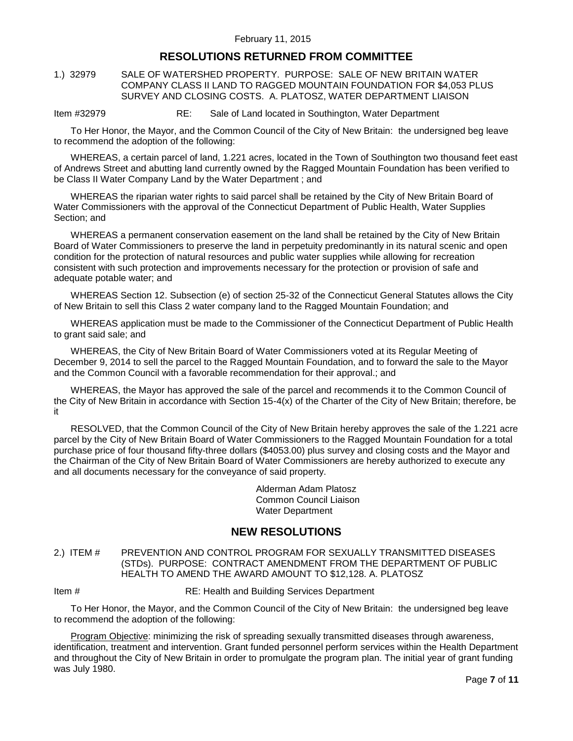# **RESOLUTIONS RETURNED FROM COMMITTEE**

<span id="page-6-0"></span>1.) 32979 SALE OF WATERSHED PROPERTY. PURPOSE: SALE OF NEW BRITAIN WATER COMPANY CLASS II LAND TO RAGGED MOUNTAIN FOUNDATION FOR \$4,053 PLUS SURVEY AND CLOSING COSTS. A. PLATOSZ, WATER DEPARTMENT LIAISON

Item #32979 RE: Sale of Land located in Southington, Water Department

To Her Honor, the Mayor, and the Common Council of the City of New Britain: the undersigned beg leave to recommend the adoption of the following:

WHEREAS, a certain parcel of land, 1.221 acres, located in the Town of Southington two thousand feet east of Andrews Street and abutting land currently owned by the Ragged Mountain Foundation has been verified to be Class II Water Company Land by the Water Department ; and

WHEREAS the riparian water rights to said parcel shall be retained by the City of New Britain Board of Water Commissioners with the approval of the Connecticut Department of Public Health, Water Supplies Section; and

WHEREAS a permanent conservation easement on the land shall be retained by the City of New Britain Board of Water Commissioners to preserve the land in perpetuity predominantly in its natural scenic and open condition for the protection of natural resources and public water supplies while allowing for recreation consistent with such protection and improvements necessary for the protection or provision of safe and adequate potable water; and

WHEREAS Section 12. Subsection (e) of section 25-32 of the Connecticut General Statutes allows the City of New Britain to sell this Class 2 water company land to the Ragged Mountain Foundation; and

WHEREAS application must be made to the Commissioner of the Connecticut Department of Public Health to grant said sale; and

WHEREAS, the City of New Britain Board of Water Commissioners voted at its Regular Meeting of December 9, 2014 to sell the parcel to the Ragged Mountain Foundation, and to forward the sale to the Mayor and the Common Council with a favorable recommendation for their approval.; and

WHEREAS, the Mayor has approved the sale of the parcel and recommends it to the Common Council of the City of New Britain in accordance with Section 15-4(x) of the Charter of the City of New Britain; therefore, be it

RESOLVED, that the Common Council of the City of New Britain hereby approves the sale of the 1.221 acre parcel by the City of New Britain Board of Water Commissioners to the Ragged Mountain Foundation for a total purchase price of four thousand fifty-three dollars (\$4053.00) plus survey and closing costs and the Mayor and the Chairman of the City of New Britain Board of Water Commissioners are hereby authorized to execute any and all documents necessary for the conveyance of said property.

> Alderman Adam Platosz Common Council Liaison Water Department

## **NEW RESOLUTIONS**

<span id="page-6-1"></span>2.) ITEM # PREVENTION AND CONTROL PROGRAM FOR SEXUALLY TRANSMITTED DISEASES (STDs). PURPOSE: CONTRACT AMENDMENT FROM THE DEPARTMENT OF PUBLIC HEALTH TO AMEND THE AWARD AMOUNT TO \$12,128. A. PLATOSZ

Item # RE: Health and Building Services Department

To Her Honor, the Mayor, and the Common Council of the City of New Britain: the undersigned beg leave to recommend the adoption of the following:

Program Objective: minimizing the risk of spreading sexually transmitted diseases through awareness, identification, treatment and intervention. Grant funded personnel perform services within the Health Department and throughout the City of New Britain in order to promulgate the program plan. The initial year of grant funding was July 1980.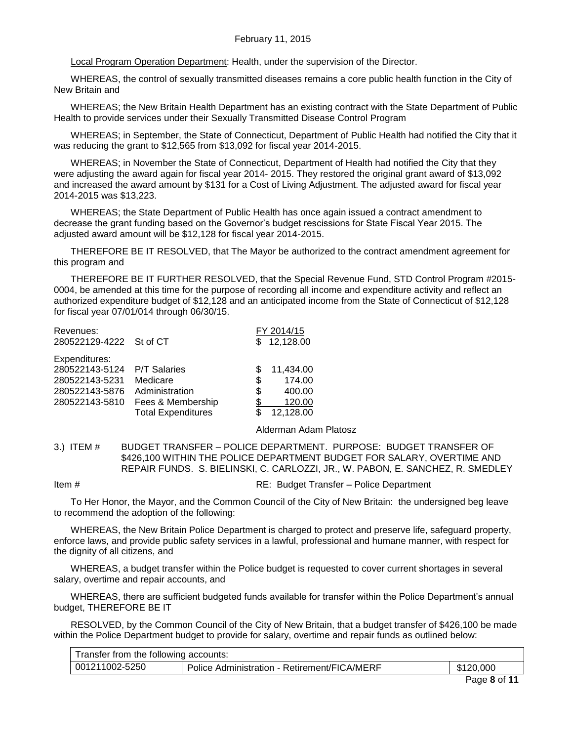Local Program Operation Department: Health, under the supervision of the Director.

WHEREAS, the control of sexually transmitted diseases remains a core public health function in the City of New Britain and

WHEREAS; the New Britain Health Department has an existing contract with the State Department of Public Health to provide services under their Sexually Transmitted Disease Control Program

WHEREAS; in September, the State of Connecticut, Department of Public Health had notified the City that it was reducing the grant to \$12,565 from \$13,092 for fiscal year 2014-2015.

WHEREAS; in November the State of Connecticut, Department of Health had notified the City that they were adjusting the award again for fiscal year 2014- 2015. They restored the original grant award of \$13,092 and increased the award amount by \$131 for a Cost of Living Adjustment. The adjusted award for fiscal year 2014-2015 was \$13,223.

WHEREAS; the State Department of Public Health has once again issued a contract amendment to decrease the grant funding based on the Governor's budget rescissions for State Fiscal Year 2015. The adjusted award amount will be \$12,128 for fiscal year 2014-2015.

THEREFORE BE IT RESOLVED, that The Mayor be authorized to the contract amendment agreement for this program and

THEREFORE BE IT FURTHER RESOLVED, that the Special Revenue Fund, STD Control Program #2015- 0004, be amended at this time for the purpose of recording all income and expenditure activity and reflect an authorized expenditure budget of \$12,128 and an anticipated income from the State of Connecticut of \$12,128 for fiscal year 07/01/014 through 06/30/15.

| Revenues:               |                           |     | FY 2014/15 |
|-------------------------|---------------------------|-----|------------|
| 280522129-4222 St of CT |                           | \$. | 12,128.00  |
| Expenditures:           |                           |     |            |
| 280522143-5124          | <b>P/T Salaries</b>       | S   | 11,434.00  |
| 280522143-5231          | Medicare                  | S   | 174.00     |
| 280522143-5876          | Administration            | \$  | 400.00     |
| 280522143-5810          | Fees & Membership         | \$  | 120.00     |
|                         | <b>Total Expenditures</b> |     | 12,128.00  |

Alderman Adam Platosz

<span id="page-7-0"></span>3.) ITEM # BUDGET TRANSFER – POLICE DEPARTMENT. PURPOSE: BUDGET TRANSFER OF \$426,100 WITHIN THE POLICE DEPARTMENT BUDGET FOR SALARY, OVERTIME AND REPAIR FUNDS. S. BIELINSKI, C. CARLOZZI, JR., W. PABON, E. SANCHEZ, R. SMEDLEY

Item # RE: Budget Transfer – Police Department

To Her Honor, the Mayor, and the Common Council of the City of New Britain: the undersigned beg leave to recommend the adoption of the following:

WHEREAS, the New Britain Police Department is charged to protect and preserve life, safeguard property, enforce laws, and provide public safety services in a lawful, professional and humane manner, with respect for the dignity of all citizens, and

WHEREAS, a budget transfer within the Police budget is requested to cover current shortages in several salary, overtime and repair accounts, and

WHEREAS, there are sufficient budgeted funds available for transfer within the Police Department's annual budget, THEREFORE BE IT

RESOLVED, by the Common Council of the City of New Britain, that a budget transfer of \$426,100 be made within the Police Department budget to provide for salary, overtime and repair funds as outlined below:

| Transfer from the following accounts: |                                              |           |  |
|---------------------------------------|----------------------------------------------|-----------|--|
| 001211002-5250                        | Police Administration - Retirement/FICA/MERF | \$120,000 |  |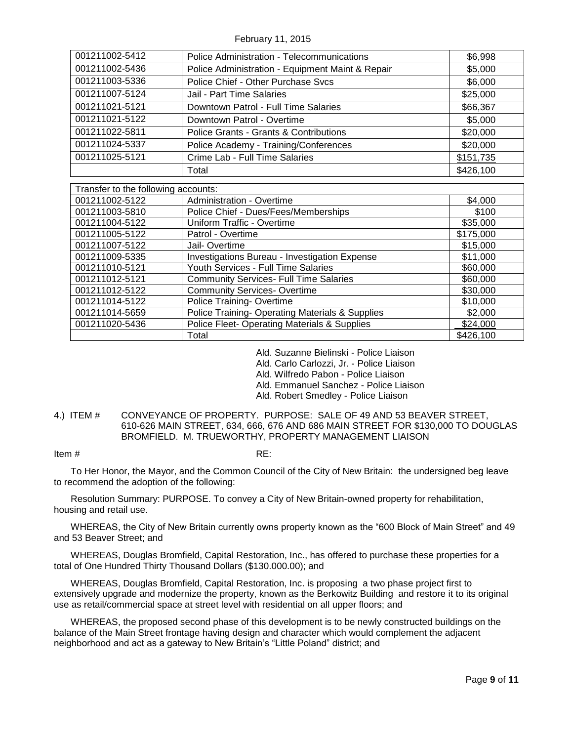February 11, 2015

| 001211002-5412                      | <b>Police Administration - Telecommunications</b>          | \$6,998   |
|-------------------------------------|------------------------------------------------------------|-----------|
| 001211002-5436                      | Police Administration - Equipment Maint & Repair           | \$5,000   |
| 001211003-5336                      | Police Chief - Other Purchase Svcs                         | \$6,000   |
| 001211007-5124                      | Jail - Part Time Salaries                                  | \$25,000  |
| 001211021-5121                      | Downtown Patrol - Full Time Salaries                       | \$66,367  |
| 001211021-5122                      | Downtown Patrol - Overtime                                 | \$5,000   |
| 001211022-5811                      | Police Grants - Grants & Contributions                     | \$20,000  |
| 001211024-5337                      | Police Academy - Training/Conferences                      | \$20,000  |
| 001211025-5121                      | Crime Lab - Full Time Salaries                             | \$151,735 |
|                                     | Total                                                      | \$426,100 |
|                                     |                                                            |           |
| Transfer to the following accounts: |                                                            |           |
| 001211002-5122                      | <b>Administration - Overtime</b>                           | \$4,000   |
| 001211003-5810                      | Police Chief - Dues/Fees/Memberships                       | \$100     |
| 001211004-5122                      | Uniform Traffic - Overtime                                 | \$35,000  |
| 001211005-5122                      | Patrol - Overtime                                          | \$175,000 |
| 001211007-5122                      | Jail- Overtime                                             | \$15,000  |
| 001211009-5335                      | Investigations Bureau - Investigation Expense              | \$11,000  |
| 001211010-5121                      | Youth Services - Full Time Salaries                        | \$60,000  |
| 001211012-5121                      | <b>Community Services- Full Time Salaries</b>              | \$60,000  |
| 001211012-5122                      | <b>Community Services-Overtime</b>                         | \$30,000  |
| 001211014-5122                      | Police Training-Overtime                                   | \$10,000  |
| 001211014-5659                      | Police Training- Operating Materials & Supplies<br>\$2,000 |           |
| 001211020-5436                      | Police Fleet- Operating Materials & Supplies               | \$24,000  |
|                                     | Total                                                      | \$426,100 |

Ald. Suzanne Bielinski - Police Liaison

Ald. Carlo Carlozzi, Jr. - Police Liaison

Ald. Wilfredo Pabon - Police Liaison

Ald. Emmanuel Sanchez - Police Liaison

Ald. Robert Smedley - Police Liaison

### <span id="page-8-0"></span>4.) ITEM # CONVEYANCE OF PROPERTY. PURPOSE: SALE OF 49 AND 53 BEAVER STREET, 610-626 MAIN STREET, 634, 666, 676 AND 686 MAIN STREET FOR \$130,000 TO DOUGLAS BROMFIELD. M. TRUEWORTHY, PROPERTY MANAGEMENT LIAISON

#### Item # RE:

To Her Honor, the Mayor, and the Common Council of the City of New Britain: the undersigned beg leave to recommend the adoption of the following:

Resolution Summary: PURPOSE. To convey a City of New Britain-owned property for rehabilitation, housing and retail use.

WHEREAS, the City of New Britain currently owns property known as the "600 Block of Main Street" and 49 and 53 Beaver Street; and

WHEREAS, Douglas Bromfield, Capital Restoration, Inc., has offered to purchase these properties for a total of One Hundred Thirty Thousand Dollars (\$130.000.00); and

WHEREAS, Douglas Bromfield, Capital Restoration, Inc. is proposing a two phase project first to extensively upgrade and modernize the property, known as the Berkowitz Building and restore it to its original use as retail/commercial space at street level with residential on all upper floors; and

WHEREAS, the proposed second phase of this development is to be newly constructed buildings on the balance of the Main Street frontage having design and character which would complement the adjacent neighborhood and act as a gateway to New Britain's "Little Poland" district; and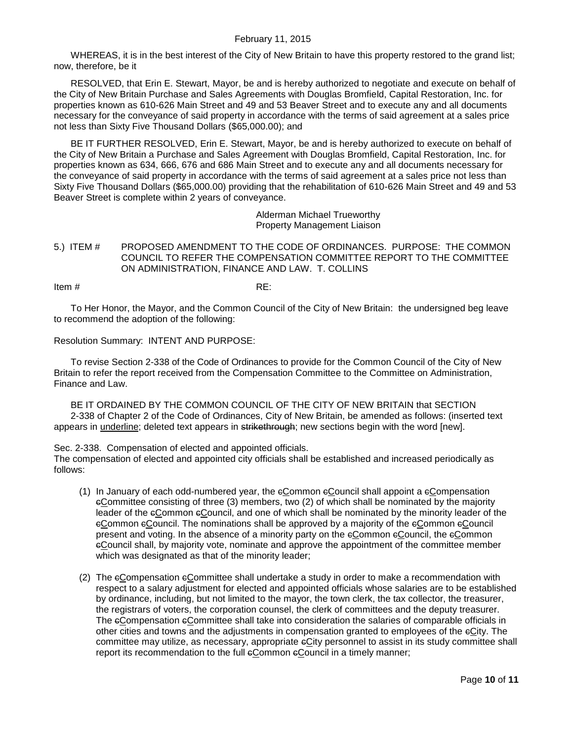WHEREAS, it is in the best interest of the City of New Britain to have this property restored to the grand list; now, therefore, be it

RESOLVED, that Erin E. Stewart, Mayor, be and is hereby authorized to negotiate and execute on behalf of the City of New Britain Purchase and Sales Agreements with Douglas Bromfield, Capital Restoration, Inc. for properties known as 610-626 Main Street and 49 and 53 Beaver Street and to execute any and all documents necessary for the conveyance of said property in accordance with the terms of said agreement at a sales price not less than Sixty Five Thousand Dollars (\$65,000.00); and

BE IT FURTHER RESOLVED, Erin E. Stewart, Mayor, be and is hereby authorized to execute on behalf of the City of New Britain a Purchase and Sales Agreement with Douglas Bromfield, Capital Restoration, Inc. for properties known as 634, 666, 676 and 686 Main Street and to execute any and all documents necessary for the conveyance of said property in accordance with the terms of said agreement at a sales price not less than Sixty Five Thousand Dollars (\$65,000.00) providing that the rehabilitation of 610-626 Main Street and 49 and 53 Beaver Street is complete within 2 years of conveyance.

> Alderman Michael Trueworthy Property Management Liaison

<span id="page-9-0"></span>5.) ITEM # PROPOSED AMENDMENT TO THE CODE OF ORDINANCES. PURPOSE: THE COMMON COUNCIL TO REFER THE COMPENSATION COMMITTEE REPORT TO THE COMMITTEE ON ADMINISTRATION, FINANCE AND LAW. T. COLLINS

Item  $\#$  RE:

To Her Honor, the Mayor, and the Common Council of the City of New Britain: the undersigned beg leave to recommend the adoption of the following:

Resolution Summary: INTENT AND PURPOSE:

To revise Section 2-338 of the Code of Ordinances to provide for the Common Council of the City of New Britain to refer the report received from the Compensation Committee to the Committee on Administration, Finance and Law.

BE IT ORDAINED BY THE COMMON COUNCIL OF THE CITY OF NEW BRITAIN that SECTION 2-338 of Chapter 2 of the Code of Ordinances, City of New Britain, be amended as follows: (inserted text appears in underline; deleted text appears in strikethrough; new sections begin with the word [new].

Sec. 2-338. Compensation of elected and appointed officials.

The compensation of elected and appointed city officials shall be established and increased periodically as follows:

- (1) In January of each odd-numbered year, the cCommon cCouncil shall appoint a cCompensation cCommittee consisting of three (3) members, two (2) of which shall be nominated by the majority leader of the eCommon eCouncil, and one of which shall be nominated by the minority leader of the cCommon cCouncil. The nominations shall be approved by a majority of the cCommon cCouncil present and voting. In the absence of a minority party on the eCommon eCouncil, the eCommon cCouncil shall, by majority vote, nominate and approve the appointment of the committee member which was designated as that of the minority leader;
- (2) The eCompensation eCommittee shall undertake a study in order to make a recommendation with respect to a salary adjustment for elected and appointed officials whose salaries are to be established by ordinance, including, but not limited to the mayor, the town clerk, the tax collector, the treasurer, the registrars of voters, the corporation counsel, the clerk of committees and the deputy treasurer. The eCompensation eCommittee shall take into consideration the salaries of comparable officials in other cities and towns and the adjustments in compensation granted to employees of the cCity. The committee may utilize, as necessary, appropriate  $\epsilon$ City personnel to assist in its study committee shall report its recommendation to the full eCommon eCouncil in a timely manner;